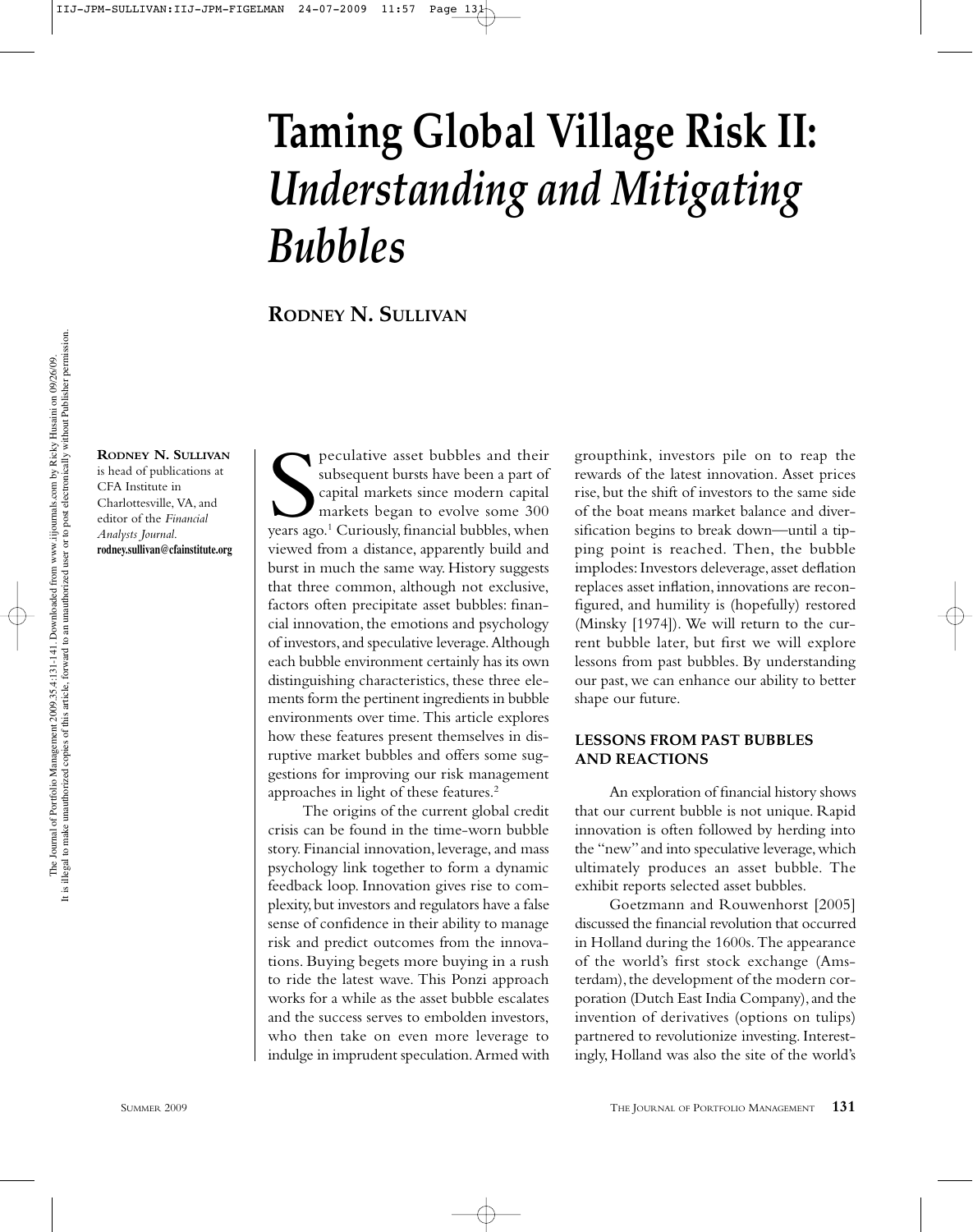# **Taming Global Village Risk II:** *Understanding and Mitigating Bubbles*

**RODNEY N. SULLIVAN**

**RODNEY N. SULLIVAN** is head of publications at CFA Institute in Charlottesville, VA, and editor of the *Financial Analysts Journal*. **rodney.sullivan@cfainstitute.org**

peculative asset bubbles and their<br>subsequent bursts have been a part of<br>capital markets since modern capital<br>markets began to evolve some 300<br>years ago.<sup>1</sup> Curiously, financial bubbles, when peculative asset bubbles and their subsequent bursts have been a part of capital markets since modern capital markets began to evolve some 300 viewed from a distance, apparently build and burst in much the same way. History suggests that three common, although not exclusive, factors often precipitate asset bubbles: financial innovation, the emotions and psychology of investors, and speculative leverage. Although each bubble environment certainly has its own distinguishing characteristics, these three elements form the pertinent ingredients in bubble environments over time. This article explores how these features present themselves in disruptive market bubbles and offers some suggestions for improving our risk management approaches in light of these features.2

The origins of the current global credit crisis can be found in the time-worn bubble story. Financial innovation, leverage, and mass psychology link together to form a dynamic feedback loop. Innovation gives rise to complexity, but investors and regulators have a false sense of confidence in their ability to manage risk and predict outcomes from the innovations. Buying begets more buying in a rush to ride the latest wave. This Ponzi approach works for a while as the asset bubble escalates and the success serves to embolden investors, who then take on even more leverage to indulge in imprudent speculation. Armed with groupthink, investors pile on to reap the rewards of the latest innovation. Asset prices rise, but the shift of investors to the same side of the boat means market balance and diversification begins to break down—until a tipping point is reached. Then, the bubble implodes: Investors deleverage, asset deflation replaces asset inflation, innovations are reconfigured, and humility is (hopefully) restored (Minsky [1974]). We will return to the current bubble later, but first we will explore lessons from past bubbles. By understanding our past, we can enhance our ability to better shape our future.

## **LESSONS FROM PAST BUBBLES AND REACTIONS**

An exploration of financial history shows that our current bubble is not unique. Rapid innovation is often followed by herding into the "new" and into speculative leverage, which ultimately produces an asset bubble. The exhibit reports selected asset bubbles.

Goetzmann and Rouwenhorst [2005] discussed the financial revolution that occurred in Holland during the 1600s. The appearance of the world's first stock exchange (Amsterdam), the development of the modern corporation (Dutch East India Company), and the invention of derivatives (options on tulips) partnered to revolutionize investing. Interestingly, Holland was also the site of the world's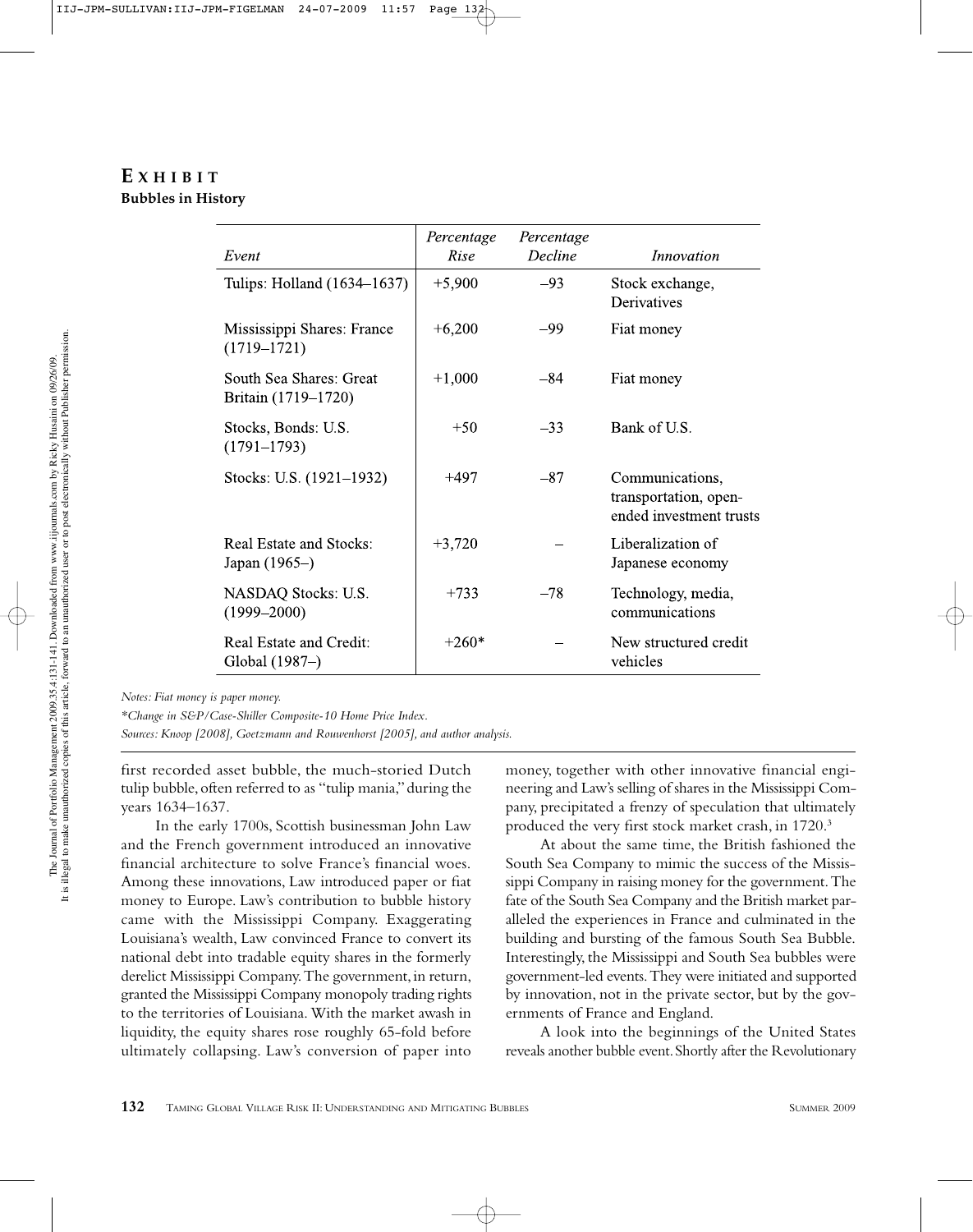# **E XHIBIT Bubbles in History**

| Event                                          | Percentage<br>Rise | Percentage<br>Decline | <i>Innovation</i>                                                   |
|------------------------------------------------|--------------------|-----------------------|---------------------------------------------------------------------|
| Tulips: Holland (1634–1637)                    | $+5,900$           | $-93$                 | Stock exchange,<br>Derivatives                                      |
| Mississippi Shares: France<br>$(1719 - 1721)$  | $+6,200$           | -99                   | Fiat money                                                          |
| South Sea Shares: Great<br>Britain (1719–1720) | $+1,000$           | $-84$                 | Fiat money                                                          |
| Stocks, Bonds: U.S.<br>$(1791 - 1793)$         | $+50$              | $-33$                 | Bank of U.S.                                                        |
| Stocks: U.S. (1921–1932)                       | $+497$             | $-87$                 | Communications,<br>transportation, open-<br>ended investment trusts |
| Real Estate and Stocks:<br>Japan (1965–)       | $+3,720$           |                       | Liberalization of<br>Japanese economy                               |
| NASDAQ Stocks: U.S.<br>$(1999 - 2000)$         | $+733$             | $-78$                 | Technology, media,<br>communications                                |
| Real Estate and Credit:<br>Global (1987–)      | $+260*$            |                       | New structured credit<br>vehicles                                   |

*Notes: Fiat money is paper money.*

*\*Change in S&P/Case-Shiller Composite-10 Home Price Index.*

*Sources: Knoop [2008], Goetzmann and Rouwenhorst [2005], and author analysis.*

first recorded asset bubble, the much-storied Dutch tulip bubble, often referred to as "tulip mania," during the years 1634–1637.

In the early 1700s, Scottish businessman John Law and the French government introduced an innovative financial architecture to solve France's financial woes. Among these innovations, Law introduced paper or fiat money to Europe. Law's contribution to bubble history came with the Mississippi Company. Exaggerating Louisiana's wealth, Law convinced France to convert its national debt into tradable equity shares in the formerly derelict Mississippi Company. The government, in return, granted the Mississippi Company monopoly trading rights to the territories of Louisiana. With the market awash in liquidity, the equity shares rose roughly 65-fold before ultimately collapsing. Law's conversion of paper into

money, together with other innovative financial engineering and Law's selling of shares in the Mississippi Company, precipitated a frenzy of speculation that ultimately produced the very first stock market crash, in 1720.<sup>3</sup>

At about the same time, the British fashioned the South Sea Company to mimic the success of the Mississippi Company in raising money for the government. The fate of the South Sea Company and the British market paralleled the experiences in France and culminated in the building and bursting of the famous South Sea Bubble. Interestingly, the Mississippi and South Sea bubbles were government-led events. They were initiated and supported by innovation, not in the private sector, but by the governments of France and England.

A look into the beginnings of the United States reveals another bubble event. Shortly after the Revolutionary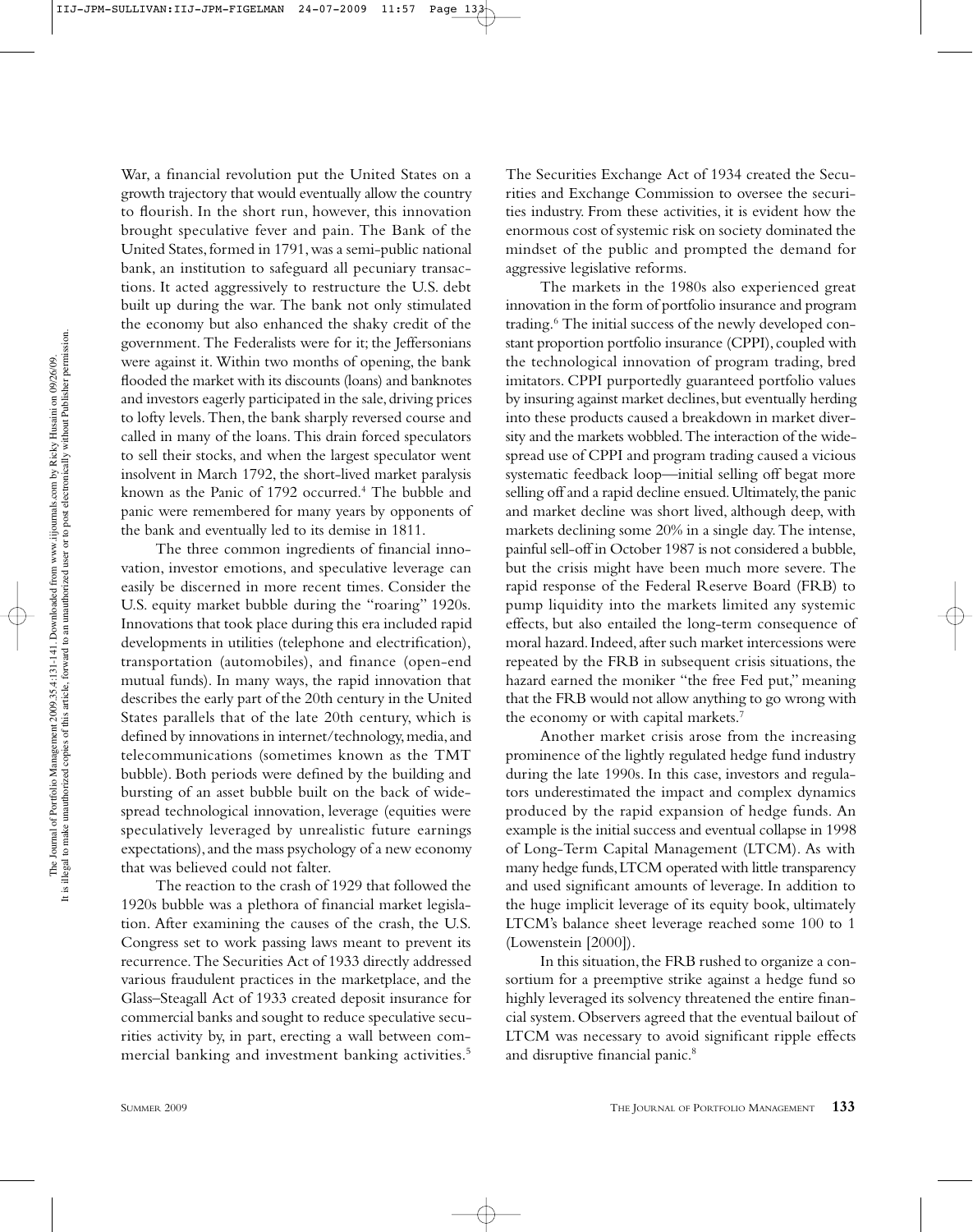War, a financial revolution put the United States on a growth trajectory that would eventually allow the country to flourish. In the short run, however, this innovation brought speculative fever and pain. The Bank of the United States, formed in 1791, was a semi-public national bank, an institution to safeguard all pecuniary transactions. It acted aggressively to restructure the U.S. debt built up during the war. The bank not only stimulated the economy but also enhanced the shaky credit of the government. The Federalists were for it; the Jeffersonians were against it. Within two months of opening, the bank flooded the market with its discounts (loans) and banknotes and investors eagerly participated in the sale, driving prices to lofty levels. Then, the bank sharply reversed course and called in many of the loans. This drain forced speculators to sell their stocks, and when the largest speculator went insolvent in March 1792, the short-lived market paralysis known as the Panic of 1792 occurred.<sup>4</sup> The bubble and panic were remembered for many years by opponents of the bank and eventually led to its demise in 1811.

The three common ingredients of financial innovation, investor emotions, and speculative leverage can easily be discerned in more recent times. Consider the U.S. equity market bubble during the "roaring" 1920s. Innovations that took place during this era included rapid developments in utilities (telephone and electrification), transportation (automobiles), and finance (open-end mutual funds). In many ways, the rapid innovation that describes the early part of the 20th century in the United States parallels that of the late 20th century, which is defined by innovations in internet/technology, media, and telecommunications (sometimes known as the TMT bubble). Both periods were defined by the building and bursting of an asset bubble built on the back of widespread technological innovation, leverage (equities were speculatively leveraged by unrealistic future earnings expectations), and the mass psychology of a new economy that was believed could not falter.

The reaction to the crash of 1929 that followed the 1920s bubble was a plethora of financial market legislation. After examining the causes of the crash, the U.S. Congress set to work passing laws meant to prevent its recurrence. The Securities Act of 1933 directly addressed various fraudulent practices in the marketplace, and the Glass–Steagall Act of 1933 created deposit insurance for commercial banks and sought to reduce speculative securities activity by, in part, erecting a wall between commercial banking and investment banking activities.5

The Securities Exchange Act of 1934 created the Securities and Exchange Commission to oversee the securities industry. From these activities, it is evident how the enormous cost of systemic risk on society dominated the mindset of the public and prompted the demand for aggressive legislative reforms.

The markets in the 1980s also experienced great innovation in the form of portfolio insurance and program trading.<sup>6</sup> The initial success of the newly developed constant proportion portfolio insurance (CPPI), coupled with the technological innovation of program trading, bred imitators. CPPI purportedly guaranteed portfolio values by insuring against market declines, but eventually herding into these products caused a breakdown in market diversity and the markets wobbled. The interaction of the widespread use of CPPI and program trading caused a vicious systematic feedback loop—initial selling off begat more selling off and a rapid decline ensued. Ultimately, the panic and market decline was short lived, although deep, with markets declining some 20% in a single day. The intense, painful sell-off in October 1987 is not considered a bubble, but the crisis might have been much more severe. The rapid response of the Federal Reserve Board (FRB) to pump liquidity into the markets limited any systemic effects, but also entailed the long-term consequence of moral hazard. Indeed, after such market intercessions were repeated by the FRB in subsequent crisis situations, the hazard earned the moniker "the free Fed put," meaning that the FRB would not allow anything to go wrong with the economy or with capital markets.<sup>7</sup>

Another market crisis arose from the increasing prominence of the lightly regulated hedge fund industry during the late 1990s. In this case, investors and regulators underestimated the impact and complex dynamics produced by the rapid expansion of hedge funds. An example is the initial success and eventual collapse in 1998 of Long-Term Capital Management (LTCM). As with many hedge funds, LTCM operated with little transparency and used significant amounts of leverage. In addition to the huge implicit leverage of its equity book, ultimately LTCM's balance sheet leverage reached some 100 to 1 (Lowenstein [2000]).

In this situation, the FRB rushed to organize a consortium for a preemptive strike against a hedge fund so highly leveraged its solvency threatened the entire financial system. Observers agreed that the eventual bailout of LTCM was necessary to avoid significant ripple effects and disruptive financial panic.8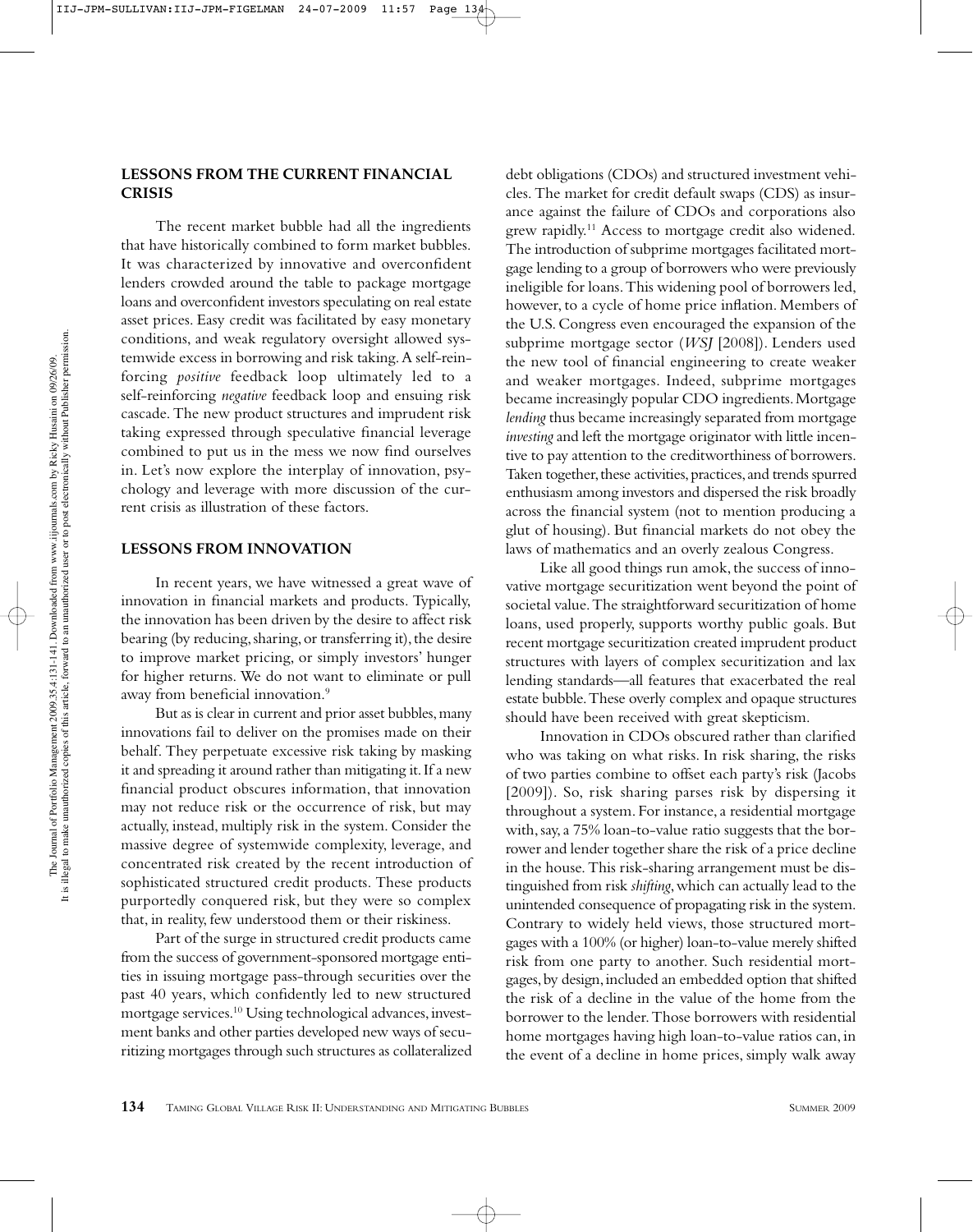#### **LESSONS FROM THE CURRENT FINANCIAL CRISIS**

The recent market bubble had all the ingredients that have historically combined to form market bubbles. It was characterized by innovative and overconfident lenders crowded around the table to package mortgage loans and overconfident investors speculating on real estate asset prices. Easy credit was facilitated by easy monetary conditions, and weak regulatory oversight allowed systemwide excess in borrowing and risk taking. A self-reinforcing *positive* feedback loop ultimately led to a self-reinforcing *negative* feedback loop and ensuing risk cascade. The new product structures and imprudent risk taking expressed through speculative financial leverage combined to put us in the mess we now find ourselves in. Let's now explore the interplay of innovation, psychology and leverage with more discussion of the current crisis as illustration of these factors.

#### **LESSONS FROM INNOVATION**

In recent years, we have witnessed a great wave of innovation in financial markets and products. Typically, the innovation has been driven by the desire to affect risk bearing (by reducing, sharing, or transferring it), the desire to improve market pricing, or simply investors' hunger for higher returns. We do not want to eliminate or pull away from beneficial innovation.9

But as is clear in current and prior asset bubbles, many innovations fail to deliver on the promises made on their behalf. They perpetuate excessive risk taking by masking it and spreading it around rather than mitigating it. If a new financial product obscures information, that innovation may not reduce risk or the occurrence of risk, but may actually, instead, multiply risk in the system. Consider the massive degree of systemwide complexity, leverage, and concentrated risk created by the recent introduction of sophisticated structured credit products. These products purportedly conquered risk, but they were so complex that, in reality, few understood them or their riskiness.

Part of the surge in structured credit products came from the success of government-sponsored mortgage entities in issuing mortgage pass-through securities over the past 40 years, which confidently led to new structured mortgage services.10 Using technological advances, investment banks and other parties developed new ways of securitizing mortgages through such structures as collateralized debt obligations (CDOs) and structured investment vehicles. The market for credit default swaps (CDS) as insurance against the failure of CDOs and corporations also grew rapidly.<sup>11</sup> Access to mortgage credit also widened. The introduction of subprime mortgages facilitated mortgage lending to a group of borrowers who were previously ineligible for loans. This widening pool of borrowers led, however, to a cycle of home price inflation. Members of the U.S. Congress even encouraged the expansion of the subprime mortgage sector (*WSJ* [2008]). Lenders used the new tool of financial engineering to create weaker and weaker mortgages. Indeed, subprime mortgages became increasingly popular CDO ingredients. Mortgage *lending* thus became increasingly separated from mortgage *investing* and left the mortgage originator with little incentive to pay attention to the creditworthiness of borrowers. Taken together, these activities, practices, and trends spurred enthusiasm among investors and dispersed the risk broadly across the financial system (not to mention producing a glut of housing). But financial markets do not obey the laws of mathematics and an overly zealous Congress.

Like all good things run amok, the success of innovative mortgage securitization went beyond the point of societal value. The straightforward securitization of home loans, used properly, supports worthy public goals. But recent mortgage securitization created imprudent product structures with layers of complex securitization and lax lending standards—all features that exacerbated the real estate bubble. These overly complex and opaque structures should have been received with great skepticism.

Innovation in CDOs obscured rather than clarified who was taking on what risks. In risk sharing, the risks of two parties combine to offset each party's risk (Jacobs [2009]). So, risk sharing parses risk by dispersing it throughout a system. For instance, a residential mortgage with, say, a 75% loan-to-value ratio suggests that the borrower and lender together share the risk of a price decline in the house. This risk-sharing arrangement must be distinguished from risk *shifting*, which can actually lead to the unintended consequence of propagating risk in the system. Contrary to widely held views, those structured mortgages with a 100% (or higher) loan-to-value merely shifted risk from one party to another. Such residential mortgages, by design, included an embedded option that shifted the risk of a decline in the value of the home from the borrower to the lender. Those borrowers with residential home mortgages having high loan-to-value ratios can, in the event of a decline in home prices, simply walk away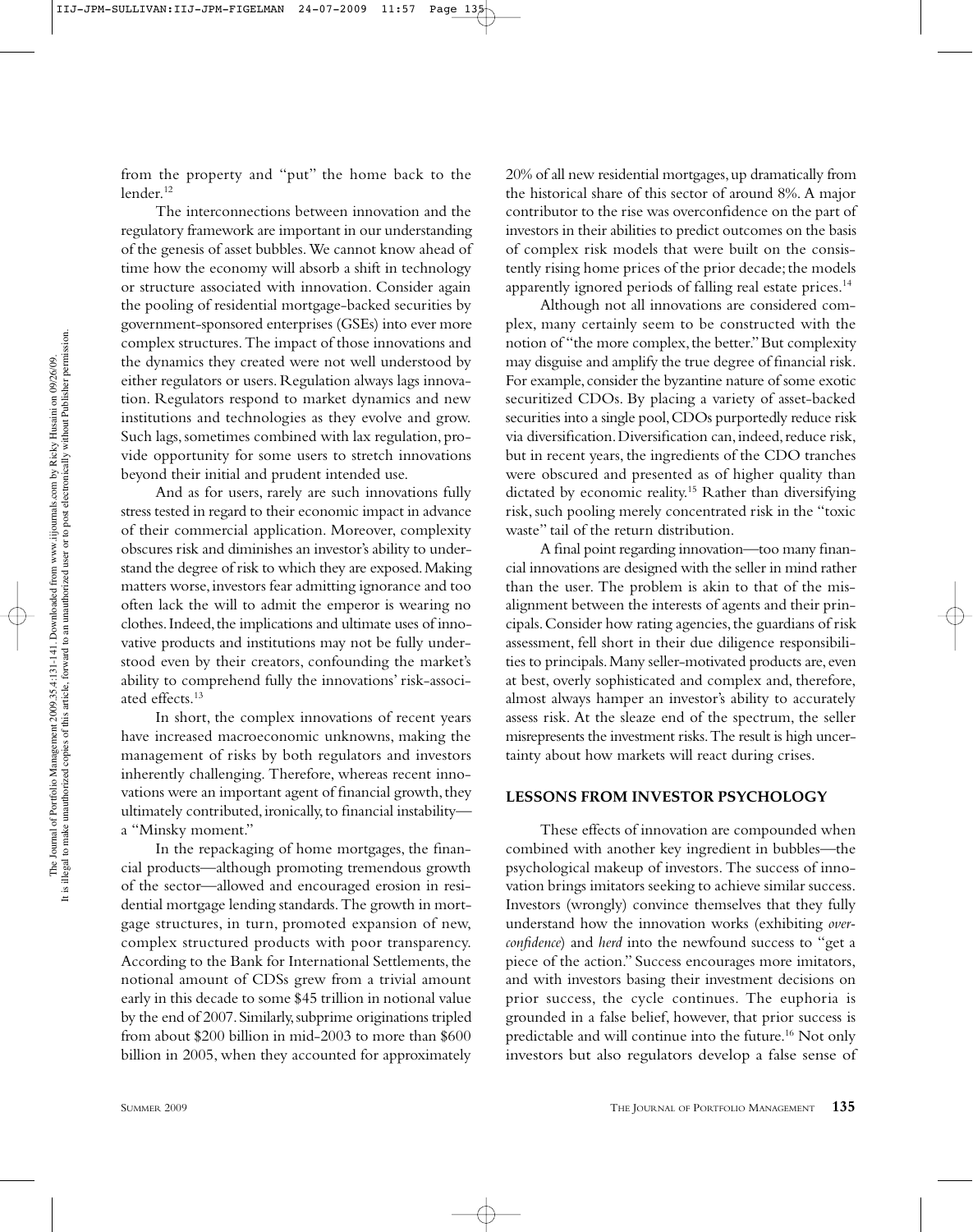from the property and "put" the home back to the lender.12

The interconnections between innovation and the regulatory framework are important in our understanding of the genesis of asset bubbles. We cannot know ahead of time how the economy will absorb a shift in technology or structure associated with innovation. Consider again the pooling of residential mortgage-backed securities by government-sponsored enterprises (GSEs) into ever more complex structures. The impact of those innovations and the dynamics they created were not well understood by either regulators or users. Regulation always lags innovation. Regulators respond to market dynamics and new institutions and technologies as they evolve and grow. Such lags, sometimes combined with lax regulation, provide opportunity for some users to stretch innovations beyond their initial and prudent intended use.

And as for users, rarely are such innovations fully stress tested in regard to their economic impact in advance of their commercial application. Moreover, complexity obscures risk and diminishes an investor's ability to understand the degree of risk to which they are exposed. Making matters worse, investors fear admitting ignorance and too often lack the will to admit the emperor is wearing no clothes. Indeed, the implications and ultimate uses of innovative products and institutions may not be fully understood even by their creators, confounding the market's ability to comprehend fully the innovations' risk-associated effects.13

In short, the complex innovations of recent years have increased macroeconomic unknowns, making the management of risks by both regulators and investors inherently challenging. Therefore, whereas recent innovations were an important agent of financial growth, they ultimately contributed, ironically, to financial instability a "Minsky moment."

In the repackaging of home mortgages, the financial products—although promoting tremendous growth of the sector—allowed and encouraged erosion in residential mortgage lending standards. The growth in mortgage structures, in turn, promoted expansion of new, complex structured products with poor transparency. According to the Bank for International Settlements, the notional amount of CDSs grew from a trivial amount early in this decade to some \$45 trillion in notional value by the end of 2007. Similarly, subprime originations tripled from about \$200 billion in mid-2003 to more than \$600 billion in 2005, when they accounted for approximately 20% of all new residential mortgages, up dramatically from the historical share of this sector of around 8%. A major contributor to the rise was overconfidence on the part of investors in their abilities to predict outcomes on the basis of complex risk models that were built on the consistently rising home prices of the prior decade; the models apparently ignored periods of falling real estate prices.<sup>14</sup>

Although not all innovations are considered complex, many certainly seem to be constructed with the notion of "the more complex, the better." But complexity may disguise and amplify the true degree of financial risk. For example, consider the byzantine nature of some exotic securitized CDOs. By placing a variety of asset-backed securities into a single pool, CDOs purportedly reduce risk via diversification. Diversification can, indeed, reduce risk, but in recent years, the ingredients of the CDO tranches were obscured and presented as of higher quality than dictated by economic reality.15 Rather than diversifying risk, such pooling merely concentrated risk in the "toxic waste" tail of the return distribution.

A final point regarding innovation—too many financial innovations are designed with the seller in mind rather than the user. The problem is akin to that of the misalignment between the interests of agents and their principals. Consider how rating agencies, the guardians of risk assessment, fell short in their due diligence responsibilities to principals. Many seller-motivated products are, even at best, overly sophisticated and complex and, therefore, almost always hamper an investor's ability to accurately assess risk. At the sleaze end of the spectrum, the seller misrepresents the investment risks. The result is high uncertainty about how markets will react during crises.

## **LESSONS FROM INVESTOR PSYCHOLOGY**

These effects of innovation are compounded when combined with another key ingredient in bubbles—the psychological makeup of investors. The success of innovation brings imitators seeking to achieve similar success. Investors (wrongly) convince themselves that they fully understand how the innovation works (exhibiting *overconfidence*) and *herd* into the newfound success to "get a piece of the action." Success encourages more imitators, and with investors basing their investment decisions on prior success, the cycle continues. The euphoria is grounded in a false belief, however, that prior success is predictable and will continue into the future.16 Not only investors but also regulators develop a false sense of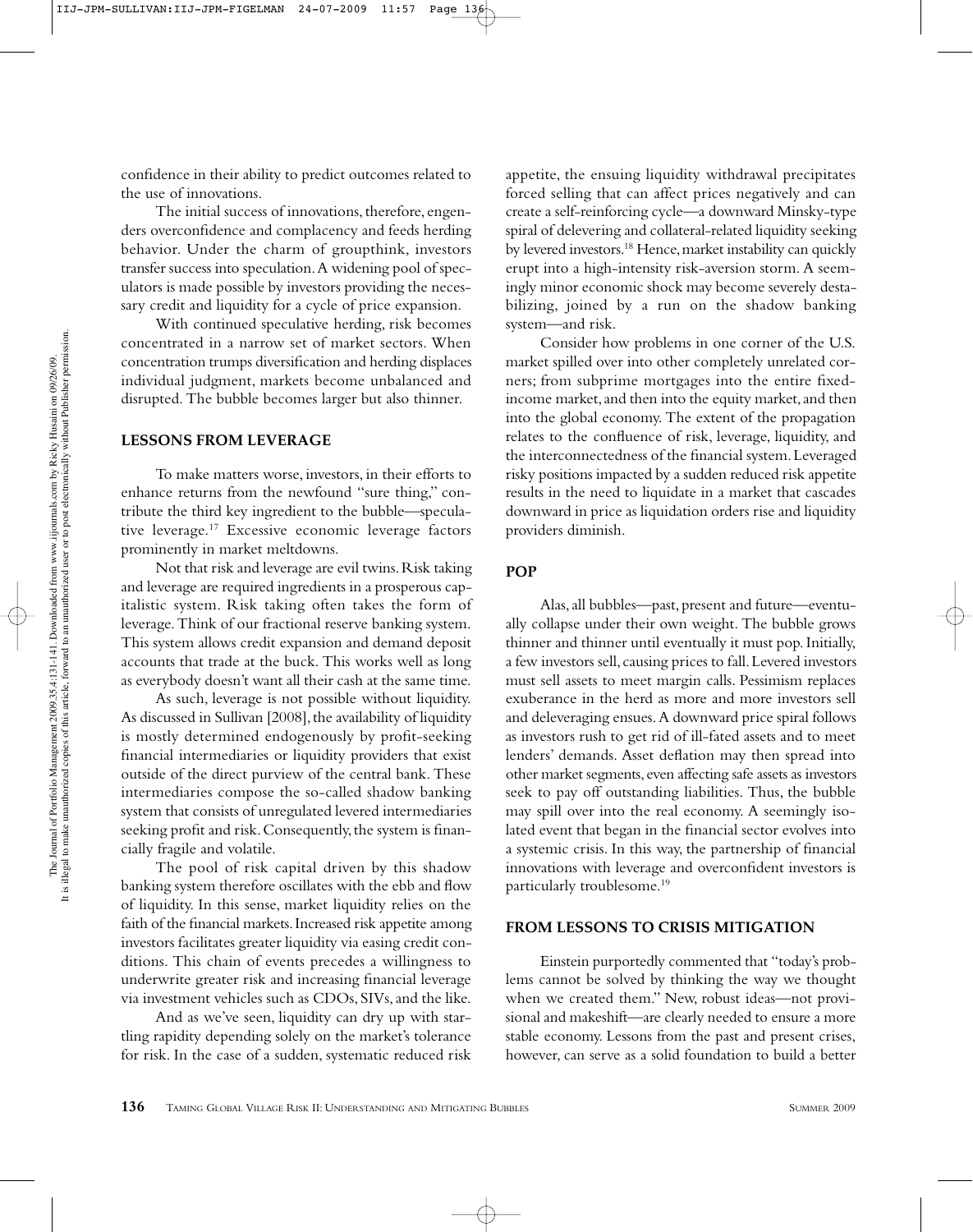confidence in their ability to predict outcomes related to the use of innovations.

The initial success of innovations, therefore, engenders overconfidence and complacency and feeds herding behavior. Under the charm of groupthink, investors transfer success into speculation. A widening pool of speculators is made possible by investors providing the necessary credit and liquidity for a cycle of price expansion.

With continued speculative herding, risk becomes concentrated in a narrow set of market sectors. When concentration trumps diversification and herding displaces individual judgment, markets become unbalanced and disrupted. The bubble becomes larger but also thinner.

#### **LESSONS FROM LEVERAGE**

To make matters worse, investors, in their efforts to enhance returns from the newfound "sure thing," contribute the third key ingredient to the bubble—speculative leverage.17 Excessive economic leverage factors prominently in market meltdowns.

Not that risk and leverage are evil twins. Risk taking and leverage are required ingredients in a prosperous capitalistic system. Risk taking often takes the form of leverage. Think of our fractional reserve banking system. This system allows credit expansion and demand deposit accounts that trade at the buck. This works well as long as everybody doesn't want all their cash at the same time.

As such, leverage is not possible without liquidity. As discussed in Sullivan [2008], the availability of liquidity is mostly determined endogenously by profit-seeking financial intermediaries or liquidity providers that exist outside of the direct purview of the central bank. These intermediaries compose the so-called shadow banking system that consists of unregulated levered intermediaries seeking profit and risk. Consequently, the system is financially fragile and volatile.

The pool of risk capital driven by this shadow banking system therefore oscillates with the ebb and flow of liquidity. In this sense, market liquidity relies on the faith of the financial markets. Increased risk appetite among investors facilitates greater liquidity via easing credit conditions. This chain of events precedes a willingness to underwrite greater risk and increasing financial leverage via investment vehicles such as CDOs, SIVs, and the like.

And as we've seen, liquidity can dry up with startling rapidity depending solely on the market's tolerance for risk. In the case of a sudden, systematic reduced risk appetite, the ensuing liquidity withdrawal precipitates forced selling that can affect prices negatively and can create a self-reinforcing cycle—a downward Minsky-type spiral of delevering and collateral-related liquidity seeking by levered investors.18 Hence, market instability can quickly erupt into a high-intensity risk-aversion storm. A seemingly minor economic shock may become severely destabilizing, joined by a run on the shadow banking system—and risk.

Consider how problems in one corner of the U.S. market spilled over into other completely unrelated corners; from subprime mortgages into the entire fixedincome market, and then into the equity market, and then into the global economy. The extent of the propagation relates to the confluence of risk, leverage, liquidity, and the interconnectedness of the financial system. Leveraged risky positions impacted by a sudden reduced risk appetite results in the need to liquidate in a market that cascades downward in price as liquidation orders rise and liquidity providers diminish.

#### **POP**

Alas, all bubbles—past, present and future—eventually collapse under their own weight. The bubble grows thinner and thinner until eventually it must pop. Initially, a few investors sell, causing prices to fall. Levered investors must sell assets to meet margin calls. Pessimism replaces exuberance in the herd as more and more investors sell and deleveraging ensues. A downward price spiral follows as investors rush to get rid of ill-fated assets and to meet lenders' demands. Asset deflation may then spread into other market segments, even affecting safe assets as investors seek to pay off outstanding liabilities. Thus, the bubble may spill over into the real economy. A seemingly isolated event that began in the financial sector evolves into a systemic crisis. In this way, the partnership of financial innovations with leverage and overconfident investors is particularly troublesome.19

#### **FROM LESSONS TO CRISIS MITIGATION**

Einstein purportedly commented that "today's problems cannot be solved by thinking the way we thought when we created them." New, robust ideas—not provisional and makeshift—are clearly needed to ensure a more stable economy. Lessons from the past and present crises, however, can serve as a solid foundation to build a better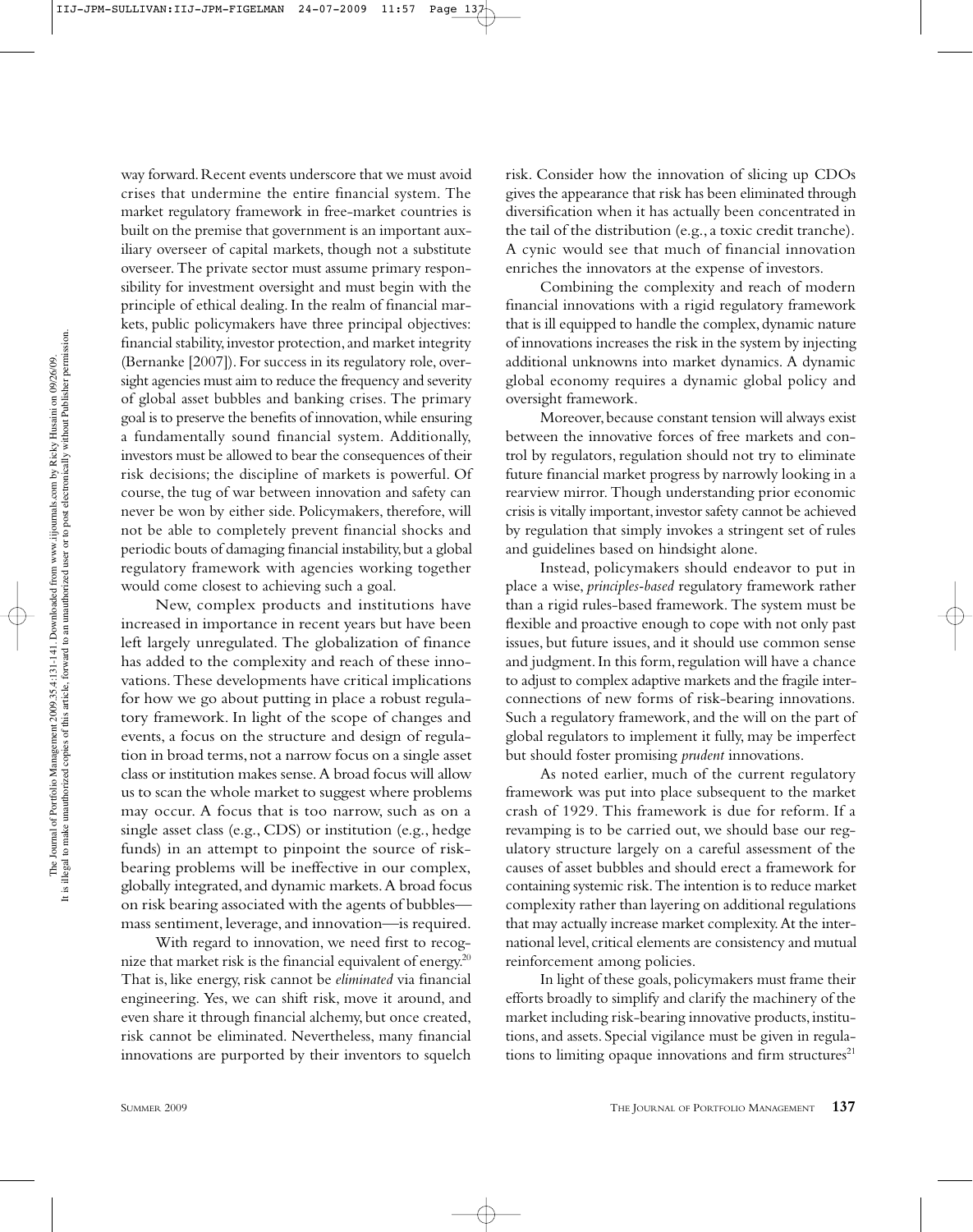way forward. Recent events underscore that we must avoid crises that undermine the entire financial system. The market regulatory framework in free-market countries is built on the premise that government is an important auxiliary overseer of capital markets, though not a substitute overseer. The private sector must assume primary responsibility for investment oversight and must begin with the principle of ethical dealing. In the realm of financial markets, public policymakers have three principal objectives: financial stability, investor protection, and market integrity (Bernanke [2007]). For success in its regulatory role, oversight agencies must aim to reduce the frequency and severity of global asset bubbles and banking crises. The primary goal is to preserve the benefits of innovation, while ensuring a fundamentally sound financial system. Additionally, investors must be allowed to bear the consequences of their risk decisions; the discipline of markets is powerful. Of course, the tug of war between innovation and safety can never be won by either side. Policymakers, therefore, will not be able to completely prevent financial shocks and periodic bouts of damaging financial instability, but a global regulatory framework with agencies working together would come closest to achieving such a goal.

New, complex products and institutions have increased in importance in recent years but have been left largely unregulated. The globalization of finance has added to the complexity and reach of these innovations. These developments have critical implications for how we go about putting in place a robust regulatory framework. In light of the scope of changes and events, a focus on the structure and design of regulation in broad terms, not a narrow focus on a single asset class or institution makes sense. A broad focus will allow us to scan the whole market to suggest where problems may occur. A focus that is too narrow, such as on a single asset class (e.g., CDS) or institution (e.g., hedge funds) in an attempt to pinpoint the source of riskbearing problems will be ineffective in our complex, globally integrated, and dynamic markets. A broad focus on risk bearing associated with the agents of bubbles mass sentiment, leverage, and innovation—is required.

With regard to innovation, we need first to recognize that market risk is the financial equivalent of energy.<sup>20</sup> That is, like energy, risk cannot be *eliminated* via financial engineering. Yes, we can shift risk, move it around, and even share it through financial alchemy, but once created, risk cannot be eliminated. Nevertheless, many financial innovations are purported by their inventors to squelch risk. Consider how the innovation of slicing up CDOs gives the appearance that risk has been eliminated through diversification when it has actually been concentrated in the tail of the distribution (e.g., a toxic credit tranche). A cynic would see that much of financial innovation enriches the innovators at the expense of investors.

Combining the complexity and reach of modern financial innovations with a rigid regulatory framework that is ill equipped to handle the complex, dynamic nature of innovations increases the risk in the system by injecting additional unknowns into market dynamics. A dynamic global economy requires a dynamic global policy and oversight framework.

Moreover, because constant tension will always exist between the innovative forces of free markets and control by regulators, regulation should not try to eliminate future financial market progress by narrowly looking in a rearview mirror. Though understanding prior economic crisis is vitally important, investor safety cannot be achieved by regulation that simply invokes a stringent set of rules and guidelines based on hindsight alone.

Instead, policymakers should endeavor to put in place a wise, *principles-based* regulatory framework rather than a rigid rules-based framework. The system must be flexible and proactive enough to cope with not only past issues, but future issues, and it should use common sense and judgment. In this form, regulation will have a chance to adjust to complex adaptive markets and the fragile interconnections of new forms of risk-bearing innovations. Such a regulatory framework, and the will on the part of global regulators to implement it fully, may be imperfect but should foster promising *prudent* innovations.

As noted earlier, much of the current regulatory framework was put into place subsequent to the market crash of 1929. This framework is due for reform. If a revamping is to be carried out, we should base our regulatory structure largely on a careful assessment of the causes of asset bubbles and should erect a framework for containing systemic risk. The intention is to reduce market complexity rather than layering on additional regulations that may actually increase market complexity. At the international level, critical elements are consistency and mutual reinforcement among policies.

In light of these goals, policymakers must frame their efforts broadly to simplify and clarify the machinery of the market including risk-bearing innovative products, institutions, and assets. Special vigilance must be given in regulations to limiting opaque innovations and firm structures $21$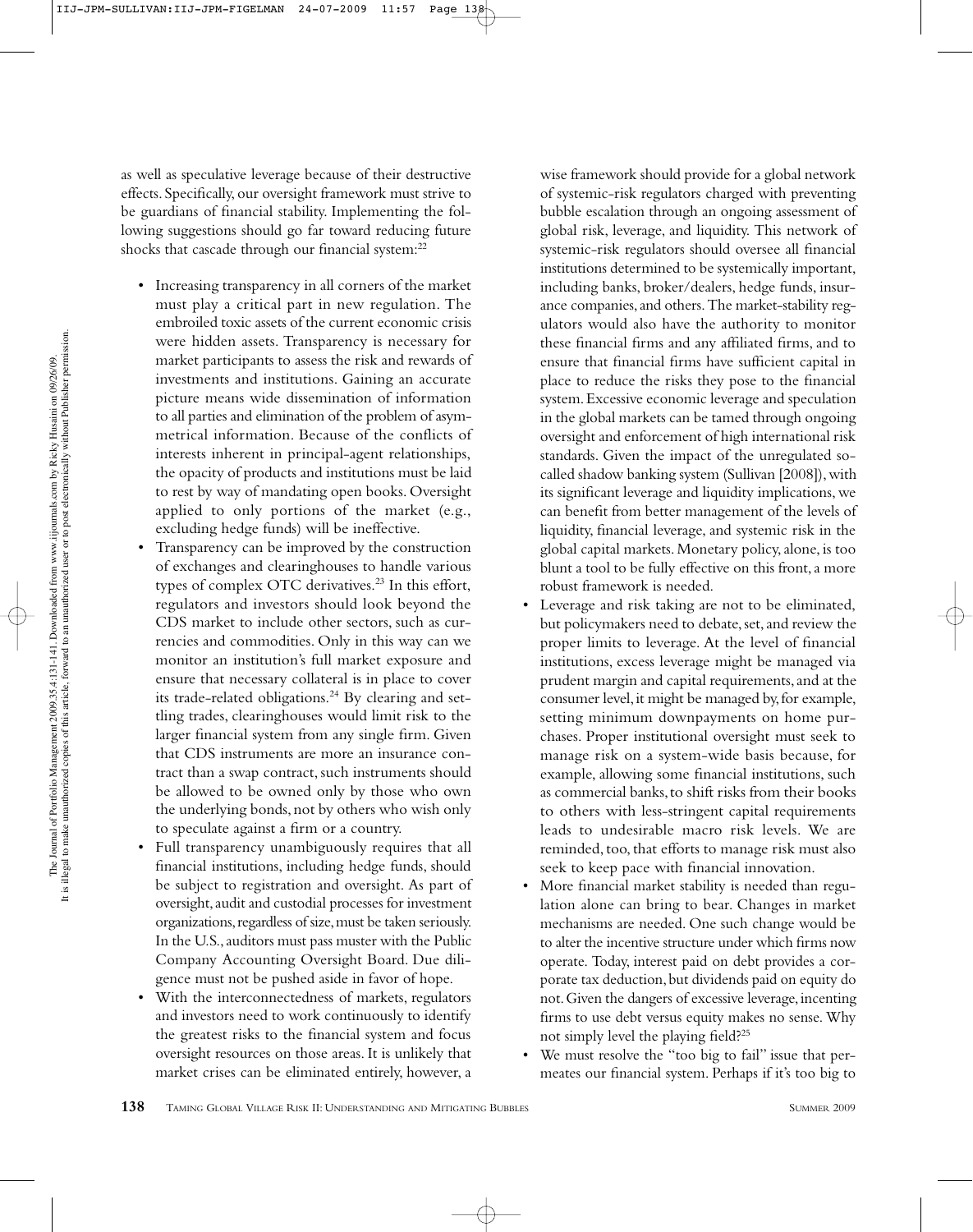as well as speculative leverage because of their destructive effects. Specifically, our oversight framework must strive to be guardians of financial stability. Implementing the following suggestions should go far toward reducing future shocks that cascade through our financial system:<sup>22</sup>

- Increasing transparency in all corners of the market must play a critical part in new regulation. The embroiled toxic assets of the current economic crisis were hidden assets. Transparency is necessary for market participants to assess the risk and rewards of investments and institutions. Gaining an accurate picture means wide dissemination of information to all parties and elimination of the problem of asymmetrical information. Because of the conflicts of interests inherent in principal-agent relationships, the opacity of products and institutions must be laid to rest by way of mandating open books. Oversight applied to only portions of the market (e.g., excluding hedge funds) will be ineffective.
- Transparency can be improved by the construction of exchanges and clearinghouses to handle various types of complex OTC derivatives.<sup>23</sup> In this effort, regulators and investors should look beyond the CDS market to include other sectors, such as currencies and commodities. Only in this way can we monitor an institution's full market exposure and ensure that necessary collateral is in place to cover its trade-related obligations.<sup>24</sup> By clearing and settling trades, clearinghouses would limit risk to the larger financial system from any single firm. Given that CDS instruments are more an insurance contract than a swap contract, such instruments should be allowed to be owned only by those who own the underlying bonds, not by others who wish only to speculate against a firm or a country.
- Full transparency unambiguously requires that all financial institutions, including hedge funds, should be subject to registration and oversight. As part of oversight, audit and custodial processes for investment organizations, regardless of size, must be taken seriously. In the U.S., auditors must pass muster with the Public Company Accounting Oversight Board. Due diligence must not be pushed aside in favor of hope.
- With the interconnectedness of markets, regulators and investors need to work continuously to identify the greatest risks to the financial system and focus oversight resources on those areas. It is unlikely that market crises can be eliminated entirely, however, a

wise framework should provide for a global network of systemic-risk regulators charged with preventing bubble escalation through an ongoing assessment of global risk, leverage, and liquidity. This network of systemic-risk regulators should oversee all financial institutions determined to be systemically important, including banks, broker/dealers, hedge funds, insurance companies, and others. The market-stability regulators would also have the authority to monitor these financial firms and any affiliated firms, and to ensure that financial firms have sufficient capital in place to reduce the risks they pose to the financial system. Excessive economic leverage and speculation in the global markets can be tamed through ongoing oversight and enforcement of high international risk standards. Given the impact of the unregulated socalled shadow banking system (Sullivan [2008]), with its significant leverage and liquidity implications, we can benefit from better management of the levels of liquidity, financial leverage, and systemic risk in the global capital markets. Monetary policy, alone, is too blunt a tool to be fully effective on this front, a more robust framework is needed.

- Leverage and risk taking are not to be eliminated, but policymakers need to debate, set, and review the proper limits to leverage. At the level of financial institutions, excess leverage might be managed via prudent margin and capital requirements, and at the consumer level, it might be managed by, for example, setting minimum downpayments on home purchases. Proper institutional oversight must seek to manage risk on a system-wide basis because, for example, allowing some financial institutions, such as commercial banks, to shift risks from their books to others with less-stringent capital requirements leads to undesirable macro risk levels. We are reminded, too, that efforts to manage risk must also seek to keep pace with financial innovation.
- More financial market stability is needed than regulation alone can bring to bear. Changes in market mechanisms are needed. One such change would be to alter the incentive structure under which firms now operate. Today, interest paid on debt provides a corporate tax deduction, but dividends paid on equity do not. Given the dangers of excessive leverage, incenting firms to use debt versus equity makes no sense. Why not simply level the playing field?25
- We must resolve the "too big to fail" issue that permeates our financial system. Perhaps if it's too big to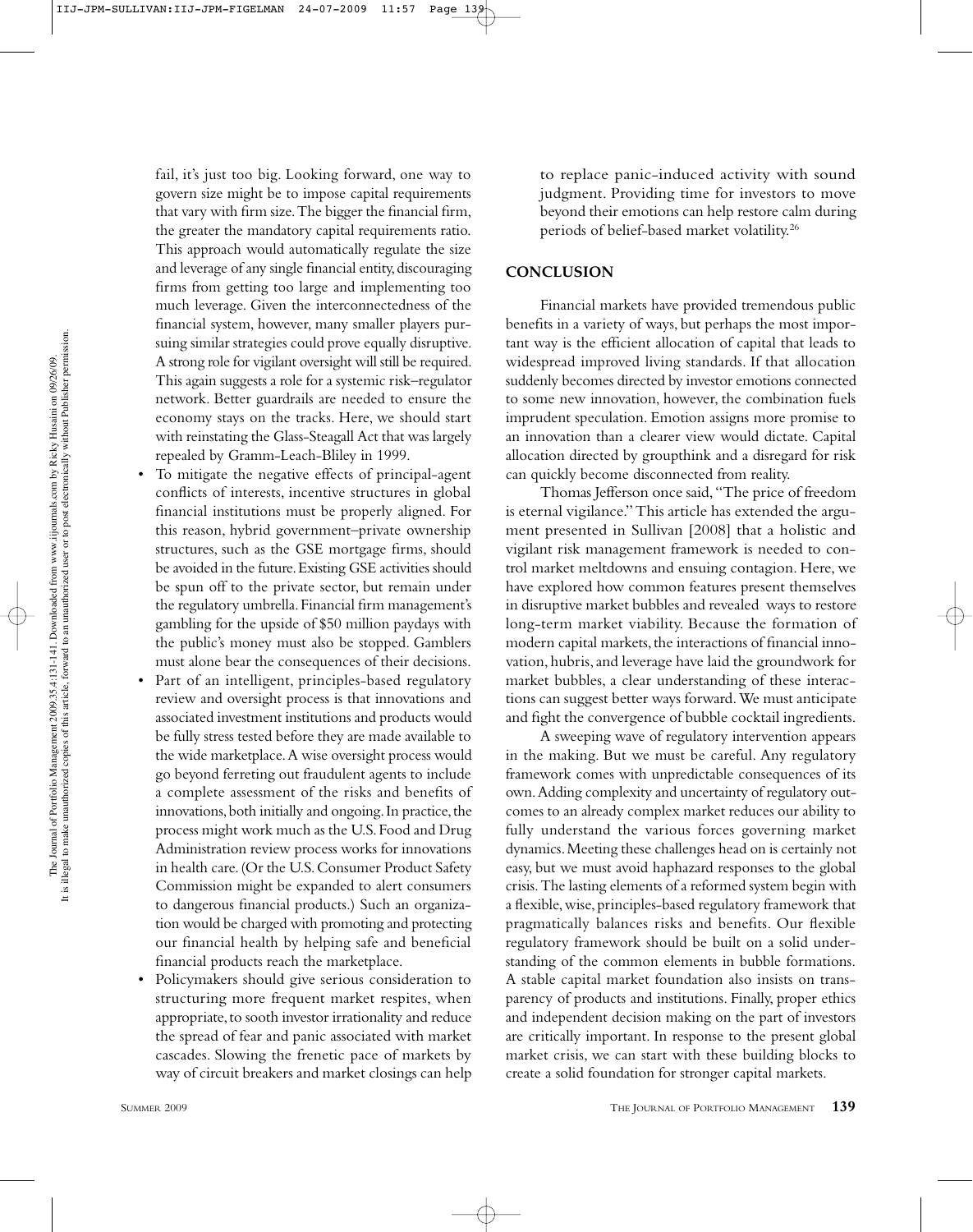fail, it's just too big. Looking forward, one way to govern size might be to impose capital requirements that vary with firm size. The bigger the financial firm, the greater the mandatory capital requirements ratio. This approach would automatically regulate the size and leverage of any single financial entity, discouraging firms from getting too large and implementing too much leverage. Given the interconnectedness of the financial system, however, many smaller players pursuing similar strategies could prove equally disruptive. A strong role for vigilant oversight will still be required. This again suggests a role for a systemic risk–regulator network. Better guardrails are needed to ensure the economy stays on the tracks. Here, we should start with reinstating the Glass-Steagall Act that was largely repealed by Gramm-Leach-Bliley in 1999.

- To mitigate the negative effects of principal-agent conflicts of interests, incentive structures in global financial institutions must be properly aligned. For this reason, hybrid government–private ownership structures, such as the GSE mortgage firms, should be avoided in the future. Existing GSE activities should be spun off to the private sector, but remain under the regulatory umbrella. Financial firm management's gambling for the upside of \$50 million paydays with the public's money must also be stopped. Gamblers must alone bear the consequences of their decisions.
- Part of an intelligent, principles-based regulatory review and oversight process is that innovations and associated investment institutions and products would be fully stress tested before they are made available to the wide marketplace. A wise oversight process would go beyond ferreting out fraudulent agents to include a complete assessment of the risks and benefits of innovations, both initially and ongoing. In practice, the process might work much as the U.S. Food and Drug Administration review process works for innovations in health care. (Or the U.S. Consumer Product Safety Commission might be expanded to alert consumers to dangerous financial products.) Such an organization would be charged with promoting and protecting our financial health by helping safe and beneficial financial products reach the marketplace.
- Policymakers should give serious consideration to structuring more frequent market respites, when appropriate, to sooth investor irrationality and reduce the spread of fear and panic associated with market cascades. Slowing the frenetic pace of markets by way of circuit breakers and market closings can help

to replace panic-induced activity with sound judgment. Providing time for investors to move beyond their emotions can help restore calm during periods of belief-based market volatility.26

#### **CONCLUSION**

Financial markets have provided tremendous public benefits in a variety of ways, but perhaps the most important way is the efficient allocation of capital that leads to widespread improved living standards. If that allocation suddenly becomes directed by investor emotions connected to some new innovation, however, the combination fuels imprudent speculation. Emotion assigns more promise to an innovation than a clearer view would dictate. Capital allocation directed by groupthink and a disregard for risk can quickly become disconnected from reality.

Thomas Jefferson once said, "The price of freedom is eternal vigilance." This article has extended the argument presented in Sullivan [2008] that a holistic and vigilant risk management framework is needed to control market meltdowns and ensuing contagion. Here, we have explored how common features present themselves in disruptive market bubbles and revealed ways to restore long-term market viability. Because the formation of modern capital markets, the interactions of financial innovation, hubris, and leverage have laid the groundwork for market bubbles, a clear understanding of these interactions can suggest better ways forward. We must anticipate and fight the convergence of bubble cocktail ingredients.

A sweeping wave of regulatory intervention appears in the making. But we must be careful. Any regulatory framework comes with unpredictable consequences of its own. Adding complexity and uncertainty of regulatory outcomes to an already complex market reduces our ability to fully understand the various forces governing market dynamics. Meeting these challenges head on is certainly not easy, but we must avoid haphazard responses to the global crisis. The lasting elements of a reformed system begin with a flexible, wise, principles-based regulatory framework that pragmatically balances risks and benefits. Our flexible regulatory framework should be built on a solid understanding of the common elements in bubble formations. A stable capital market foundation also insists on transparency of products and institutions. Finally, proper ethics and independent decision making on the part of investors are critically important. In response to the present global market crisis, we can start with these building blocks to create a solid foundation for stronger capital markets.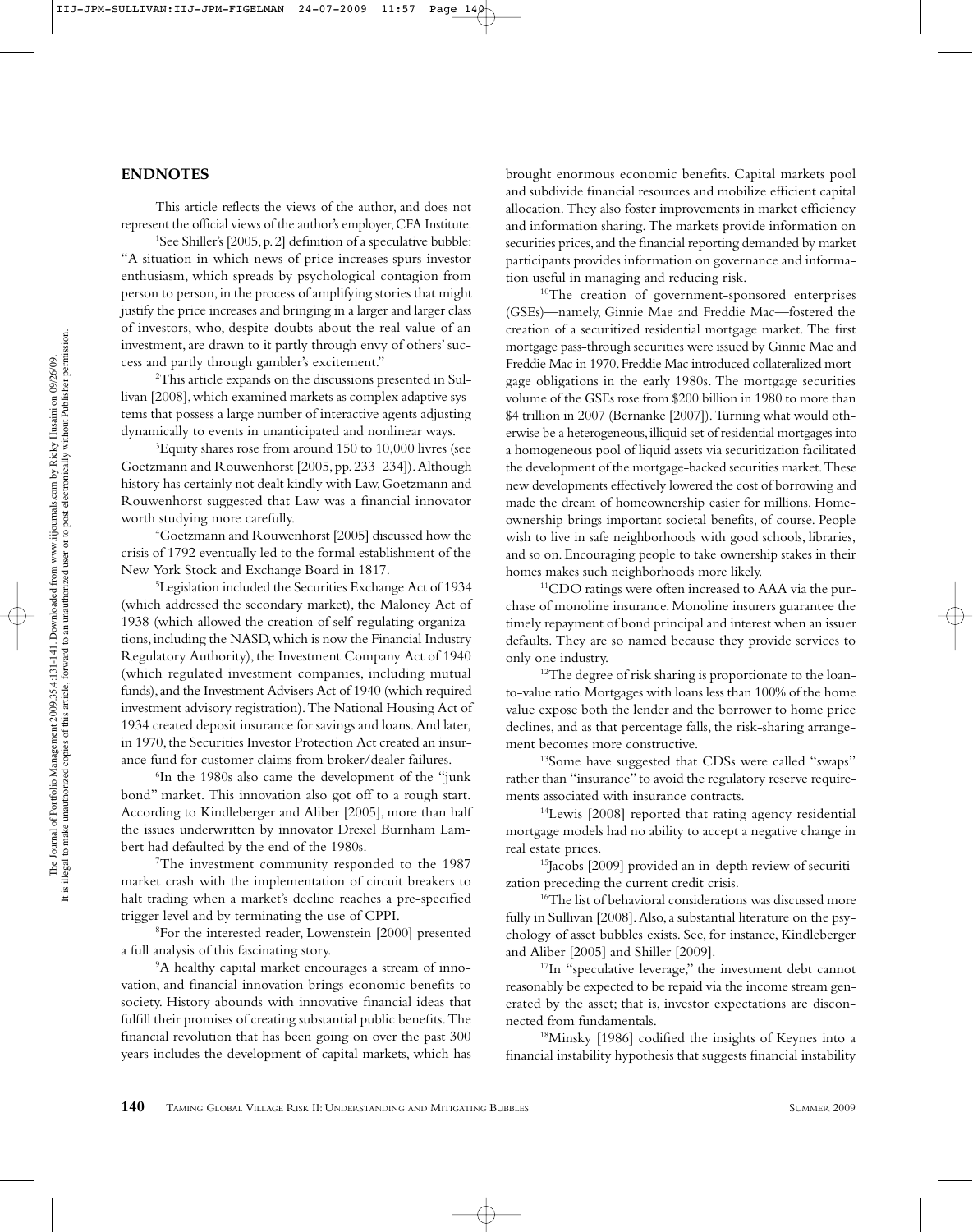#### **ENDNOTES**

This article reflects the views of the author, and does not represent the official views of the author's employer, CFA Institute.

<sup>1</sup>See Shiller's [2005, p. 2] definition of a speculative bubble: "A situation in which news of price increases spurs investor enthusiasm, which spreads by psychological contagion from person to person, in the process of amplifying stories that might justify the price increases and bringing in a larger and larger class of investors, who, despite doubts about the real value of an investment, are drawn to it partly through envy of others' success and partly through gambler's excitement."

2 This article expands on the discussions presented in Sullivan [2008], which examined markets as complex adaptive systems that possess a large number of interactive agents adjusting dynamically to events in unanticipated and nonlinear ways.

3 Equity shares rose from around 150 to 10,000 livres (see Goetzmann and Rouwenhorst [2005, pp. 233–234]). Although history has certainly not dealt kindly with Law, Goetzmann and Rouwenhorst suggested that Law was a financial innovator worth studying more carefully.

4 Goetzmann and Rouwenhorst [2005] discussed how the crisis of 1792 eventually led to the formal establishment of the New York Stock and Exchange Board in 1817.

5 Legislation included the Securities Exchange Act of 1934 (which addressed the secondary market), the Maloney Act of 1938 (which allowed the creation of self-regulating organizations, including the NASD, which is now the Financial Industry Regulatory Authority), the Investment Company Act of 1940 (which regulated investment companies, including mutual funds), and the Investment Advisers Act of 1940 (which required investment advisory registration). The National Housing Act of 1934 created deposit insurance for savings and loans. And later, in 1970, the Securities Investor Protection Act created an insurance fund for customer claims from broker/dealer failures.

6 In the 1980s also came the development of the "junk bond" market. This innovation also got off to a rough start. According to Kindleberger and Aliber [2005], more than half the issues underwritten by innovator Drexel Burnham Lambert had defaulted by the end of the 1980s.

7 The investment community responded to the 1987 market crash with the implementation of circuit breakers to halt trading when a market's decline reaches a pre-specified trigger level and by terminating the use of CPPI.

8 For the interested reader, Lowenstein [2000] presented a full analysis of this fascinating story.

9 A healthy capital market encourages a stream of innovation, and financial innovation brings economic benefits to society. History abounds with innovative financial ideas that fulfill their promises of creating substantial public benefits. The financial revolution that has been going on over the past 300 years includes the development of capital markets, which has brought enormous economic benefits. Capital markets pool and subdivide financial resources and mobilize efficient capital allocation. They also foster improvements in market efficiency and information sharing. The markets provide information on securities prices, and the financial reporting demanded by market participants provides information on governance and information useful in managing and reducing risk.

<sup>10</sup>The creation of government-sponsored enterprises (GSEs)—namely, Ginnie Mae and Freddie Mac—fostered the creation of a securitized residential mortgage market. The first mortgage pass-through securities were issued by Ginnie Mae and Freddie Mac in 1970. Freddie Mac introduced collateralized mortgage obligations in the early 1980s. The mortgage securities volume of the GSEs rose from \$200 billion in 1980 to more than \$4 trillion in 2007 (Bernanke [2007]). Turning what would otherwise be a heterogeneous, illiquid set of residential mortgages into a homogeneous pool of liquid assets via securitization facilitated the development of the mortgage-backed securities market. These new developments effectively lowered the cost of borrowing and made the dream of homeownership easier for millions. Homeownership brings important societal benefits, of course. People wish to live in safe neighborhoods with good schools, libraries, and so on. Encouraging people to take ownership stakes in their homes makes such neighborhoods more likely.

11CDO ratings were often increased to AAA via the purchase of monoline insurance. Monoline insurers guarantee the timely repayment of bond principal and interest when an issuer defaults. They are so named because they provide services to only one industry.

<sup>12</sup>The degree of risk sharing is proportionate to the loanto-value ratio. Mortgages with loans less than 100% of the home value expose both the lender and the borrower to home price declines, and as that percentage falls, the risk-sharing arrangement becomes more constructive.

13Some have suggested that CDSs were called "swaps" rather than "insurance" to avoid the regulatory reserve requirements associated with insurance contracts.

14Lewis [2008] reported that rating agency residential mortgage models had no ability to accept a negative change in real estate prices.

15Jacobs [2009] provided an in-depth review of securitization preceding the current credit crisis.

<sup>16</sup>The list of behavioral considerations was discussed more fully in Sullivan [2008]. Also, a substantial literature on the psychology of asset bubbles exists. See, for instance, Kindleberger and Aliber [2005] and Shiller [2009].

<sup>17</sup>In "speculative leverage," the investment debt cannot reasonably be expected to be repaid via the income stream generated by the asset; that is, investor expectations are disconnected from fundamentals.

18Minsky [1986] codified the insights of Keynes into a financial instability hypothesis that suggests financial instability